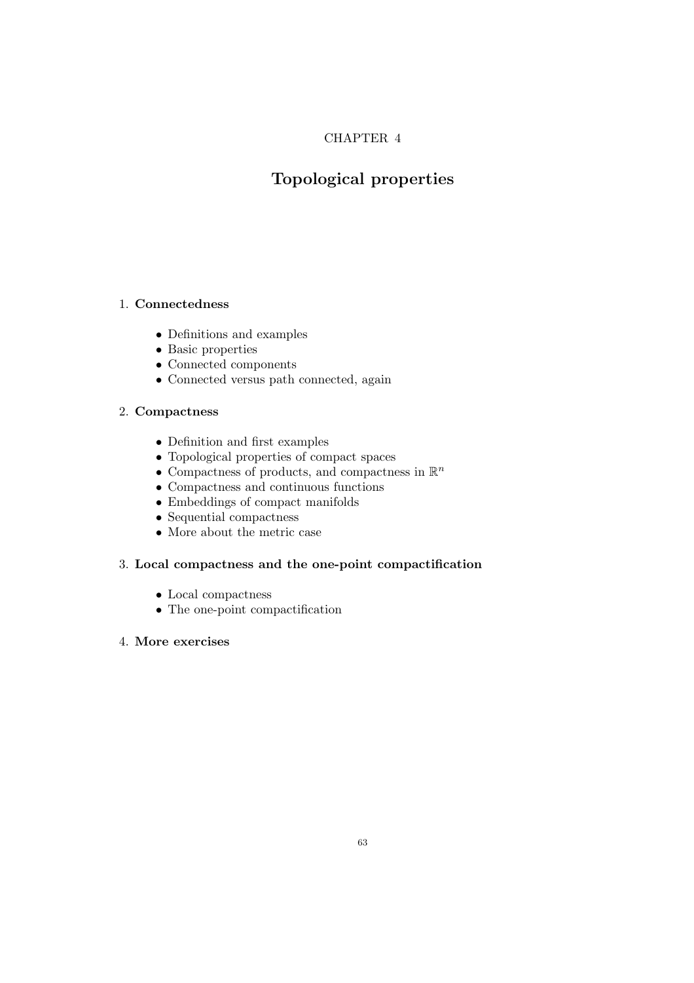# CHAPTER 4

# Topological properties

# 1. Connectedness

- Definitions and examples
- Basic properties
- Connected components
- Connected versus path connected, again

# 2. Compactness

- Definition and first examples
- Topological properties of compact spaces
- Compactness of products, and compactness in  $\mathbb{R}^n$
- Compactness and continuous functions
- Embeddings of compact manifolds
- Sequential compactness
- More about the metric case

# 3. Local compactness and the one-point compactification

- Local compactness
- The one-point compactification

# 4. More exercises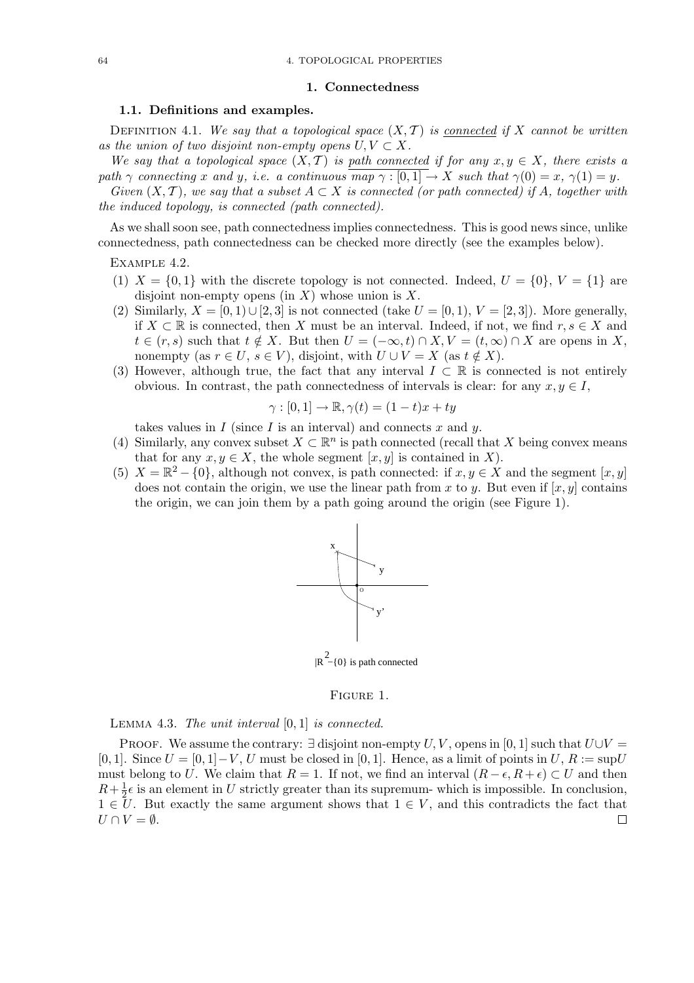#### 1. Connectedness

### 1.1. Definitions and examples.

DEFINITION 4.1. We say that a topological space  $(X, \mathcal{T})$  is connected if X cannot be written as the union of two disjoint non-empty opens  $U, V \subset X$ .

We say that a topological space  $(X, \mathcal{T})$  is path connected if for any  $x, y \in X$ , there exists a path  $\gamma$  connecting x and y, i.e. a continuous  $\overline{map \gamma : [0,1]} \to X$  such that  $\gamma(0) = x$ ,  $\gamma(1) = y$ .

Given  $(X, \mathcal{T})$ , we say that a subset  $A \subset X$  is connected (or path connected) if A, together with the induced topology, is connected (path connected).

As we shall soon see, path connectedness implies connectedness. This is good news since, unlike connectedness, path connectedness can be checked more directly (see the examples below).

Example 4.2.

- (1)  $X = \{0, 1\}$  with the discrete topology is not connected. Indeed,  $U = \{0\}$ ,  $V = \{1\}$  are disjoint non-empty opens (in  $X$ ) whose union is  $X$ .
- (2) Similarly,  $X = [0, 1) \cup [2, 3]$  is not connected (take  $U = [0, 1), V = [2, 3]$ ). More generally, if  $X \subset \mathbb{R}$  is connected, then X must be an interval. Indeed, if not, we find  $r, s \in X$  and  $t \in (r, s)$  such that  $t \notin X$ . But then  $U = (-\infty, t) \cap X$ ,  $V = (t, \infty) \cap X$  are opens in X, nonempty (as  $r \in U$ ,  $s \in V$ ), disjoint, with  $U \cup V = X$  (as  $t \notin X$ ).
- (3) However, although true, the fact that any interval  $I \subset \mathbb{R}$  is connected is not entirely obvious. In contrast, the path connectedness of intervals is clear: for any  $x, y \in I$ ,

$$
\gamma : [0,1] \to \mathbb{R}, \gamma(t) = (1-t)x + ty
$$

takes values in  $I$  (since  $I$  is an interval) and connects  $x$  and  $y$ .

- (4) Similarly, any convex subset  $X \subset \mathbb{R}^n$  is path connected (recall that X being convex means that for any  $x, y \in X$ , the whole segment  $[x, y]$  is contained in X).
- (5)  $X = \mathbb{R}^2 \{0\}$ , although not convex, is path connected: if  $x, y \in X$  and the segment  $[x, y]$ does not contain the origin, we use the linear path from x to y. But even if  $[x, y]$  contains the origin, we can join them by a path going around the origin (see Figure 1).



 $|R^2 - \{0\}$  is path connected

#### Figure 1.

LEMMA 4.3. The unit interval  $[0, 1]$  is connected.

PROOF. We assume the contrary:  $\exists$  disjoint non-empty U, V, opens in [0, 1] such that  $U \cup V =$ [0, 1]. Since  $U = [0, 1] - V$ , U must be closed in [0, 1]. Hence, as a limit of points in  $U, R := \text{sup}U$ must belong to U. We claim that  $R = 1$ . If not, we find an interval  $(R - \epsilon, R + \epsilon) \subset U$  and then  $R+\frac{1}{2}$  $\frac{1}{2}\epsilon$  is an element in U strictly greater than its supremum- which is impossible. In conclusion,  $1 \in U$ . But exactly the same argument shows that  $1 \in V$ , and this contradicts the fact that  $U \cap V = \emptyset$ .  $\Box$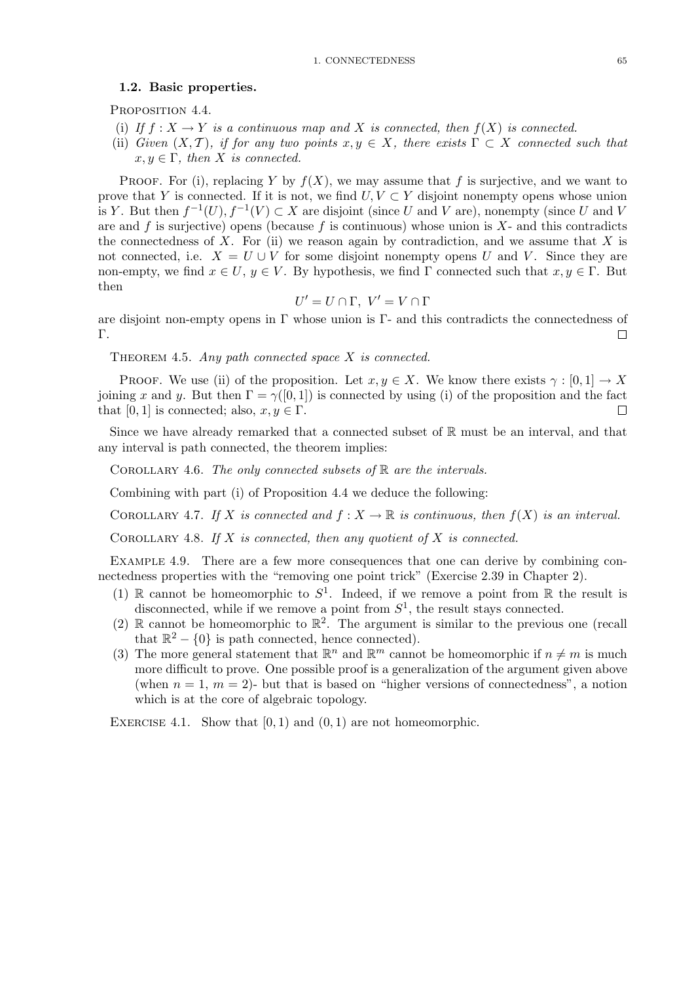#### 1.2. Basic properties.

PROPOSITION 4.4.

- (i) If  $f: X \to Y$  is a continuous map and X is connected, then  $f(X)$  is connected.
- (ii) Given  $(X, \mathcal{T})$ , if for any two points  $x, y \in X$ , there exists  $\Gamma \subset X$  connected such that  $x, y \in \Gamma$ , then X is connected.

PROOF. For (i), replacing Y by  $f(X)$ , we may assume that f is surjective, and we want to prove that Y is connected. If it is not, we find  $U, V \subset Y$  disjoint nonempty opens whose union is Y. But then  $f^{-1}(U)$ ,  $f^{-1}(V) \subset X$  are disjoint (since U and V are), nonempty (since U and V are and f is surjective) opens (because f is continuous) whose union is  $X$ - and this contradicts the connectedness of X. For (ii) we reason again by contradiction, and we assume that X is not connected, i.e.  $X = U \cup V$  for some disjoint nonempty opens U and V. Since they are non-empty, we find  $x \in U$ ,  $y \in V$ . By hypothesis, we find  $\Gamma$  connected such that  $x, y \in \Gamma$ . But then

$$
U' = U \cap \Gamma, \ V' = V \cap \Gamma
$$

are disjoint non-empty opens in  $\Gamma$  whose union is  $\Gamma$ - and this contradicts the connectedness of Γ.  $\Box$ 

THEOREM 4.5. Any path connected space  $X$  is connected.

PROOF. We use (ii) of the proposition. Let  $x, y \in X$ . We know there exists  $\gamma : [0, 1] \to X$ joining x and y. But then  $\Gamma = \gamma([0, 1])$  is connected by using (i) of the proposition and the fact that [0, 1] is connected; also,  $x, y \in \Gamma$ .  $\Box$ 

Since we have already remarked that a connected subset of  $\mathbb R$  must be an interval, and that any interval is path connected, the theorem implies:

COROLLARY 4.6. The only connected subsets of  $\mathbb R$  are the intervals.

Combining with part (i) of Proposition 4.4 we deduce the following:

COROLLARY 4.7. If X is connected and  $f: X \to \mathbb{R}$  is continuous, then  $f(X)$  is an interval.

COROLLARY 4.8. If X is connected, then any quotient of X is connected.

EXAMPLE 4.9. There are a few more consequences that one can derive by combining connectedness properties with the "removing one point trick" (Exercise 2.39 in Chapter 2).

- (1) R cannot be homeomorphic to  $S^1$ . Indeed, if we remove a point from R the result is disconnected, while if we remove a point from  $S^1$ , the result stays connected.
- (2)  $\mathbb R$  cannot be homeomorphic to  $\mathbb R^2$ . The argument is similar to the previous one (recall that  $\mathbb{R}^2 - \{0\}$  is path connected, hence connected).
- (3) The more general statement that  $\mathbb{R}^n$  and  $\mathbb{R}^m$  cannot be homeomorphic if  $n \neq m$  is much more difficult to prove. One possible proof is a generalization of the argument given above (when  $n = 1, m = 2$ )- but that is based on "higher versions of connectedness", a notion which is at the core of algebraic topology.

EXERCISE 4.1. Show that  $[0, 1)$  and  $(0, 1)$  are not homeomorphic.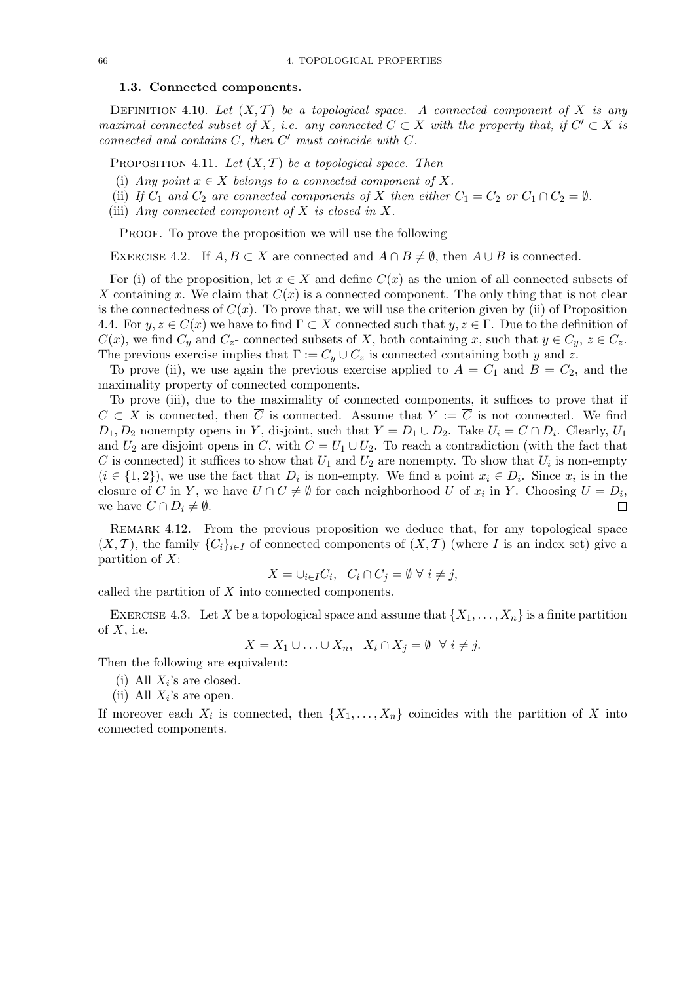### 1.3. Connected components.

DEFINITION 4.10. Let  $(X, \mathcal{T})$  be a topological space. A connected component of X is any maximal connected subset of X, i.e. any connected  $C \subset X$  with the property that, if  $C' \subset X$  is connected and contains  $C$ , then  $C'$  must coincide with  $C$ .

PROPOSITION 4.11. Let  $(X, \mathcal{T})$  be a topological space. Then

- (i) Any point  $x \in X$  belongs to a connected component of X.
- (ii) If  $C_1$  and  $C_2$  are connected components of X then either  $C_1 = C_2$  or  $C_1 \cap C_2 = \emptyset$ .
- (iii) Any connected component of  $X$  is closed in  $X$ .

PROOF. To prove the proposition we will use the following

EXERCISE 4.2. If  $A, B \subset X$  are connected and  $A \cap B \neq \emptyset$ , then  $A \cup B$  is connected.

For (i) of the proposition, let  $x \in X$  and define  $C(x)$  as the union of all connected subsets of X containing x. We claim that  $C(x)$  is a connected component. The only thing that is not clear is the connectedness of  $C(x)$ . To prove that, we will use the criterion given by (ii) of Proposition 4.4. For  $y, z \in C(x)$  we have to find  $\Gamma \subset X$  connected such that  $y, z \in \Gamma$ . Due to the definition of  $C(x)$ , we find  $C_y$  and  $C_z$ - connected subsets of X, both containing x, such that  $y \in C_y$ ,  $z \in C_z$ . The previous exercise implies that  $\Gamma := C_y \cup C_z$  is connected containing both y and z.

To prove (ii), we use again the previous exercise applied to  $A = C_1$  and  $B = C_2$ , and the maximality property of connected components.

To prove (iii), due to the maximality of connected components, it suffices to prove that if  $C \subset X$  is connected, then  $\overline{C}$  is connected. Assume that  $Y := \overline{C}$  is not connected. We find  $D_1, D_2$  nonempty opens in Y, disjoint, such that  $Y = D_1 \cup D_2$ . Take  $U_i = C \cap D_i$ . Clearly,  $U_1$ and  $U_2$  are disjoint opens in C, with  $C = U_1 \cup U_2$ . To reach a contradiction (with the fact that C is connected) it suffices to show that  $U_1$  and  $U_2$  are nonempty. To show that  $U_i$  is non-empty  $(i \in \{1,2\})$ , we use the fact that  $D_i$  is non-empty. We find a point  $x_i \in D_i$ . Since  $x_i$  is in the closure of C in Y, we have  $U \cap C \neq \emptyset$  for each neighborhood U of  $x_i$  in Y. Choosing  $U = D_i$ , we have  $C \cap D_i \neq \emptyset$ .  $\Box$ 

REMARK 4.12. From the previous proposition we deduce that, for any topological space  $(X, \mathcal{T})$ , the family  $\{C_i\}_{i\in I}$  of connected components of  $(X, \mathcal{T})$  (where I is an index set) give a partition of  $X$ :

$$
X = \cup_{i \in I} C_i, \quad C_i \cap C_j = \emptyset \ \forall \ i \neq j,
$$

called the partition of X into connected components.

EXERCISE 4.3. Let X be a topological space and assume that  $\{X_1, \ldots, X_n\}$  is a finite partition of  $X$ , i.e.

 $X = X_1 \cup \ldots \cup X_n, \quad X_i \cap X_j = \emptyset \quad \forall \ i \neq j.$ 

Then the following are equivalent:

- (i) All  $X_i$ 's are closed.
- (ii) All  $X_i$ 's are open.

If moreover each  $X_i$  is connected, then  $\{X_1, \ldots, X_n\}$  coincides with the partition of X into connected components.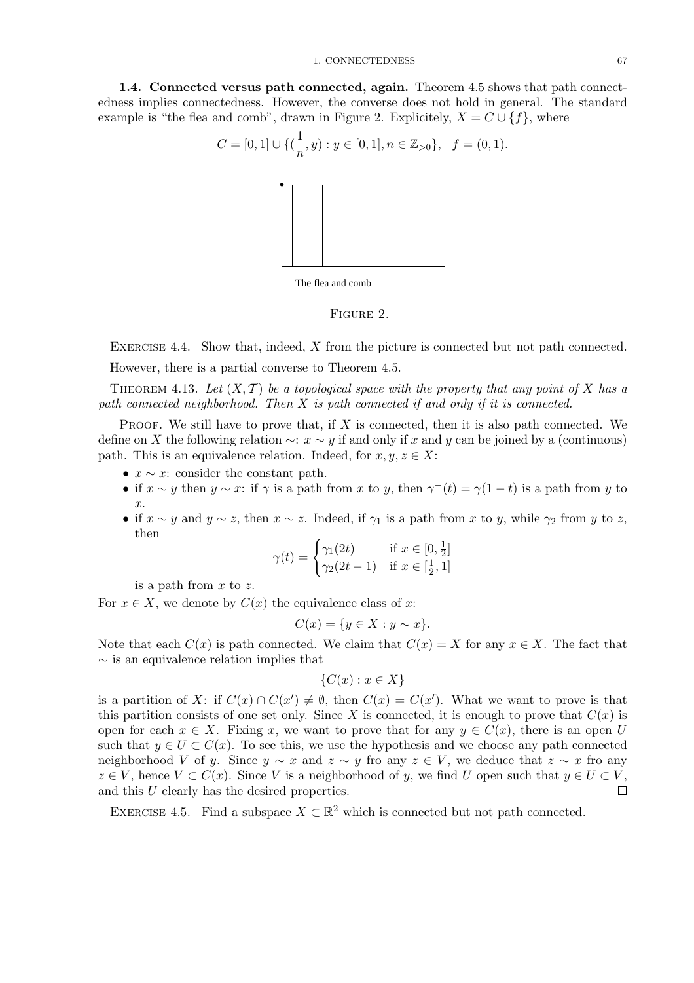1.4. Connected versus path connected, again. Theorem 4.5 shows that path connectedness implies connectedness. However, the converse does not hold in general. The standard example is "the flea and comb", drawn in Figure 2. Explicitely,  $X = C \cup \{f\}$ , where

$$
C = [0, 1] \cup \{(\frac{1}{n}, y) : y \in [0, 1], n \in \mathbb{Z}_{>0}\}, \quad f = (0, 1).
$$



FIGURE 2.

EXERCISE 4.4. Show that, indeed, X from the picture is connected but not path connected. However, there is a partial converse to Theorem 4.5.

THEOREM 4.13. Let  $(X, \mathcal{T})$  be a topological space with the property that any point of X has a path connected neighborhood. Then  $X$  is path connected if and only if it is connected.

PROOF. We still have to prove that, if  $X$  is connected, then it is also path connected. We define on X the following relation  $\sim$ :  $x \sim y$  if and only if x and y can be joined by a (continuous) path. This is an equivalence relation. Indeed, for  $x, y, z \in X$ :

- $x \sim x$ : consider the constant path.
- if  $x \sim y$  then  $y \sim x$ : if  $\gamma$  is a path from x to y, then  $\gamma^{-}(t) = \gamma(1-t)$  is a path from y to x.
- if  $x \sim y$  and  $y \sim z$ , then  $x \sim z$ . Indeed, if  $\gamma_1$  is a path from x to y, while  $\gamma_2$  from y to z, then

$$
\gamma(t) = \begin{cases} \gamma_1(2t) & \text{if } x \in [0, \frac{1}{2}] \\ \gamma_2(2t - 1) & \text{if } x \in [\frac{1}{2}, 1] \end{cases}
$$

is a path from  $x$  to  $z$ .

For  $x \in X$ , we denote by  $C(x)$  the equivalence class of x:

$$
C(x) = \{ y \in X : y \sim x \}.
$$

Note that each  $C(x)$  is path connected. We claim that  $C(x) = X$  for any  $x \in X$ . The fact that  $\sim$  is an equivalence relation implies that

$$
\{C(x) : x \in X\}
$$

is a partition of X: if  $C(x) \cap C(x') \neq \emptyset$ , then  $C(x) = C(x')$ . What we want to prove is that this partition consists of one set only. Since X is connected, it is enough to prove that  $C(x)$  is open for each  $x \in X$ . Fixing x, we want to prove that for any  $y \in C(x)$ , there is an open U such that  $y \in U \subset C(x)$ . To see this, we use the hypothesis and we choose any path connected neighborhood V of y. Since  $y \sim x$  and  $z \sim y$  fro any  $z \in V$ , we deduce that  $z \sim x$  fro any  $z \in V$ , hence  $V \subset C(x)$ . Since V is a neighborhood of y, we find U open such that  $y \in U \subset V$ ,  $\Box$ and this U clearly has the desired properties.

EXERCISE 4.5. Find a subspace  $X \subset \mathbb{R}^2$  which is connected but not path connected.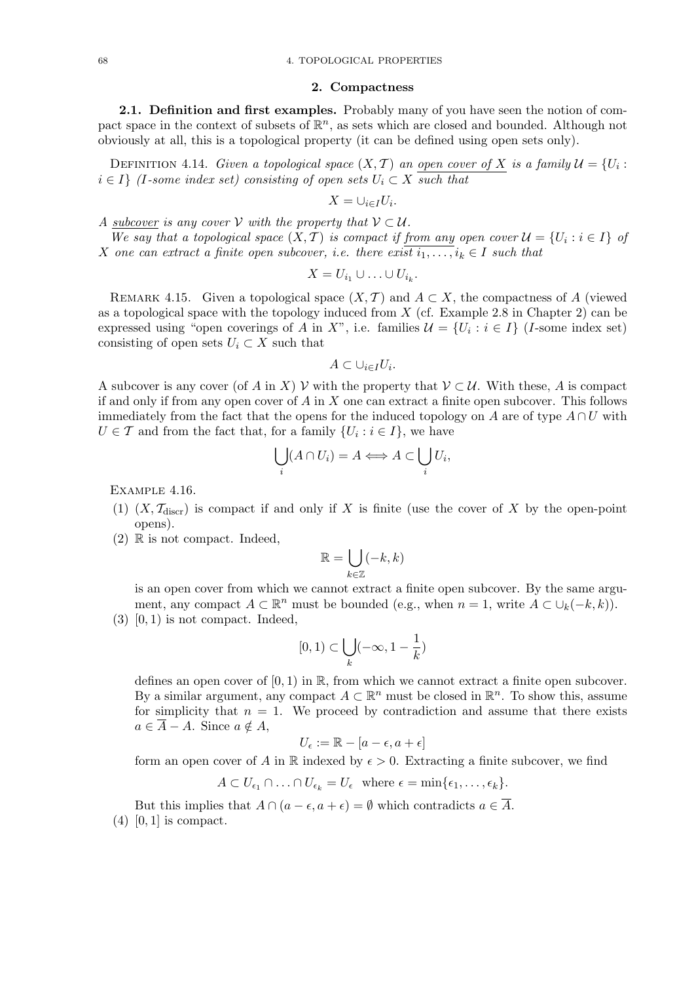#### 2. Compactness

2.1. Definition and first examples. Probably many of you have seen the notion of compact space in the context of subsets of  $\mathbb{R}^n$ , as sets which are closed and bounded. Although not obviously at all, this is a topological property (it can be defined using open sets only).

DEFINITION 4.14. Given a topological space  $(X, \mathcal{T})$  an open cover of X is a family  $\mathcal{U} = \{U_i :$  $i \in I$  (I-some index set) consisting of open sets  $U_i \subset X$  such that

$$
X=\cup_{i\in I}U_i.
$$

A subcover is any cover V with the property that  $V \subset U$ .

We say that a topological space  $(X, \mathcal{T})$  is compact if from any open cover  $\mathcal{U} = \{U_i : i \in I\}$  of X one can extract a finite open subcover, i.e. there exist  $i_1,\ldots,i_k \in I$  such that

$$
X=U_{i_1}\cup\ldots\cup U_{i_k}.
$$

REMARK 4.15. Given a topological space  $(X, \mathcal{T})$  and  $A \subset X$ , the compactness of A (viewed as a topological space with the topology induced from  $X$  (cf. Example 2.8 in Chapter 2) can be expressed using "open coverings of A in X", i.e. families  $\mathcal{U} = \{U_i : i \in I\}$  (I-some index set) consisting of open sets  $U_i \subset X$  such that

$$
A \subset \cup_{i \in I} U_i.
$$

A subcover is any cover (of A in X) V with the property that  $V \subset U$ . With these, A is compact if and only if from any open cover of  $A$  in  $X$  one can extract a finite open subcover. This follows immediately from the fact that the opens for the induced topology on A are of type  $A \cap U$  with  $U \in \mathcal{T}$  and from the fact that, for a family  $\{U_i : i \in I\}$ , we have

$$
\bigcup_i (A \cap U_i) = A \Longleftrightarrow A \subset \bigcup_i U_i,
$$

Example 4.16.

- (1)  $(X, \mathcal{T}_{\text{disc}})$  is compact if and only if X is finite (use the cover of X by the open-point opens).
- $(2)$  R is not compact. Indeed,

$$
\mathbb{R} = \bigcup_{k \in \mathbb{Z}} (-k, k)
$$

is an open cover from which we cannot extract a finite open subcover. By the same argument, any compact  $A \subset \mathbb{R}^n$  must be bounded (e.g., when  $n = 1$ , write  $A \subset \bigcup_k (-k, k)$ ).  $(3)$   $[0, 1)$  is not compact. Indeed,

$$
[0,1)\subset \bigcup_k (-\infty,1-\frac{1}{k})
$$

defines an open cover of  $[0, 1)$  in  $\mathbb{R}$ , from which we cannot extract a finite open subcover. By a similar argument, any compact  $A \subset \mathbb{R}^n$  must be closed in  $\mathbb{R}^n$ . To show this, assume for simplicity that  $n = 1$ . We proceed by contradiction and assume that there exists  $a \in \overline{A} - A$ . Since  $a \notin A$ ,

$$
U_{\epsilon} := \mathbb{R} - [a - \epsilon, a + \epsilon]
$$

form an open cover of A in R indexed by  $\epsilon > 0$ . Extracting a finite subcover, we find

$$
A \subset U_{\epsilon_1} \cap \ldots \cap U_{\epsilon_k} = U_{\epsilon} \text{ where } \epsilon = \min\{\epsilon_1, \ldots, \epsilon_k\}.
$$

But this implies that  $A \cap (a - \epsilon, a + \epsilon) = \emptyset$  which contradicts  $a \in \overline{A}$ .  $(4)$  [0, 1] is compact.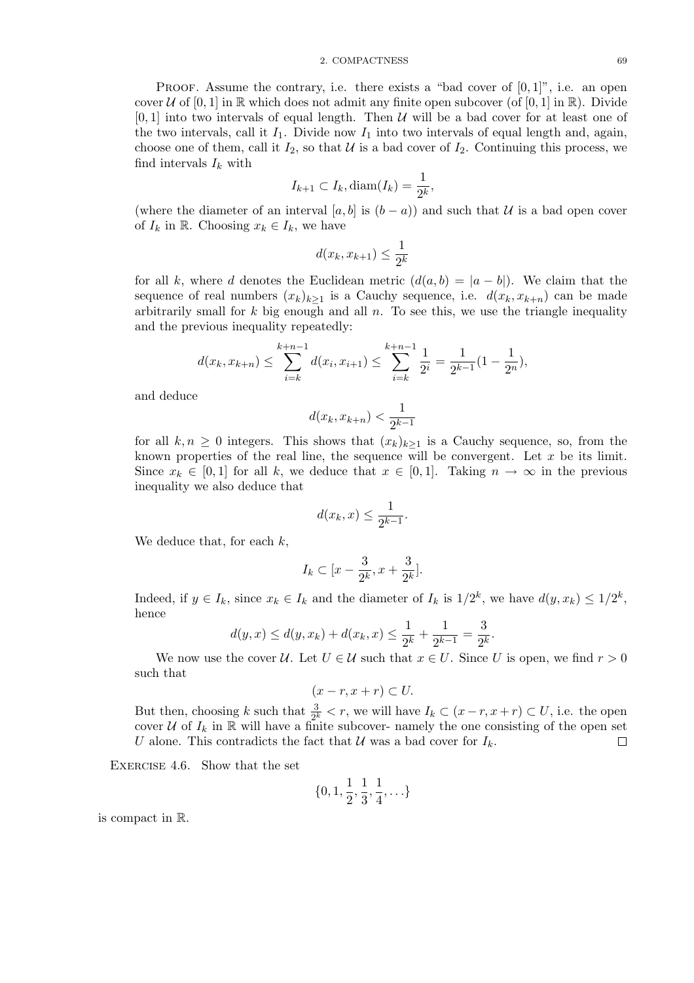#### 2. COMPACTNESS 69

PROOF. Assume the contrary, i.e. there exists a "bad cover of  $[0, 1]$ ", i.e. an open cover U of  $[0, 1]$  in R which does not admit any finite open subcover (of  $[0, 1]$  in R). Divide  $[0, 1]$  into two intervals of equal length. Then U will be a bad cover for at least one of the two intervals, call it  $I_1$ . Divide now  $I_1$  into two intervals of equal length and, again, choose one of them, call it  $I_2$ , so that U is a bad cover of  $I_2$ . Continuing this process, we find intervals  $I_k$  with

$$
I_{k+1} \subset I_k, \text{diam}(I_k) = \frac{1}{2^k},
$$

(where the diameter of an interval [a, b] is  $(b - a)$ ) and such that U is a bad open cover of  $I_k$  in R. Choosing  $x_k \in I_k$ , we have

$$
d(x_k, x_{k+1}) \le \frac{1}{2^k}
$$

for all k, where d denotes the Euclidean metric  $(d(a, b) = |a - b|)$ . We claim that the sequence of real numbers  $(x_k)_{k>1}$  is a Cauchy sequence, i.e.  $d(x_k, x_{k+n})$  can be made arbitrarily small for  $k$  big enough and all  $n$ . To see this, we use the triangle inequality and the previous inequality repeatedly:

$$
d(x_k, x_{k+n}) \le \sum_{i=k}^{k+n-1} d(x_i, x_{i+1}) \le \sum_{i=k}^{k+n-1} \frac{1}{2^i} = \frac{1}{2^{k-1}}(1 - \frac{1}{2^n}),
$$

and deduce

$$
d(x_k, x_{k+n}) < \frac{1}{2^{k-1}}
$$

for all  $k, n \geq 0$  integers. This shows that  $(x_k)_{k>1}$  is a Cauchy sequence, so, from the known properties of the real line, the sequence will be convergent. Let  $x$  be its limit. Since  $x_k \in [0,1]$  for all k, we deduce that  $x \in [0,1]$ . Taking  $n \to \infty$  in the previous inequality we also deduce that

$$
d(x_k, x) \le \frac{1}{2^{k-1}}.
$$

We deduce that, for each  $k$ ,

$$
I_k \subset [x - \frac{3}{2^k}, x + \frac{3}{2^k}].
$$

Indeed, if  $y \in I_k$ , since  $x_k \in I_k$  and the diameter of  $I_k$  is  $1/2^k$ , we have  $d(y, x_k) \leq 1/2^k$ , hence

$$
d(y,x) \le d(y,x_k) + d(x_k,x) \le \frac{1}{2^k} + \frac{1}{2^{k-1}} = \frac{3}{2^k}.
$$

We now use the cover U. Let  $U \in \mathcal{U}$  such that  $x \in U$ . Since U is open, we find  $r > 0$ such that

$$
(x-r, x+r) \subset U.
$$

But then, choosing k such that  $\frac{3}{2^k} < r$ , we will have  $I_k \subset (x-r, x+r) \subset U$ , i.e. the open cover  $U$  of  $I_k$  in  $\mathbb R$  will have a finite subcover- namely the one consisting of the open set U alone. This contradicts the fact that U was a bad cover for  $I_k$ .  $\Box$ 

EXERCISE 4.6. Show that the set

$$
\{0, 1, \frac{1}{2}, \frac{1}{3}, \frac{1}{4}, \ldots\}
$$

is compact in R.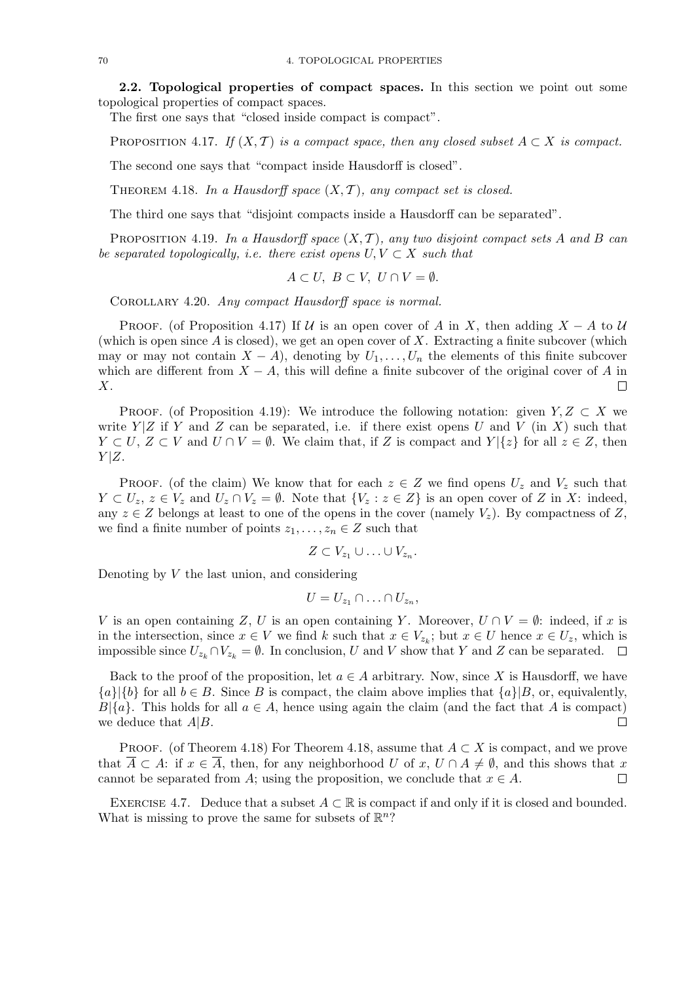2.2. Topological properties of compact spaces. In this section we point out some topological properties of compact spaces.

The first one says that "closed inside compact is compact".

PROPOSITION 4.17. If  $(X, \mathcal{T})$  is a compact space, then any closed subset  $A \subset X$  is compact.

The second one says that "compact inside Hausdorff is closed".

THEOREM 4.18. In a Hausdorff space  $(X, \mathcal{T})$ , any compact set is closed.

The third one says that "disjoint compacts inside a Hausdorff can be separated".

PROPOSITION 4.19. In a Hausdorff space  $(X, \mathcal{T})$ , any two disjoint compact sets A and B can be separated topologically, i.e. there exist opens  $U, V \subset X$  such that

$$
A \subset U, \ B \subset V, \ U \cap V = \emptyset.
$$

COROLLARY 4.20. Any compact Hausdorff space is normal.

PROOF. (of Proposition 4.17) If U is an open cover of A in X, then adding  $X - A$  to U (which is open since  $A$  is closed), we get an open cover of  $X$ . Extracting a finite subcover (which may or may not contain  $X - A$ ), denoting by  $U_1, \ldots, U_n$  the elements of this finite subcover which are different from  $X - A$ , this will define a finite subcover of the original cover of A in X. П

PROOF. (of Proposition 4.19): We introduce the following notation: given  $Y, Z \subset X$  we write  $Y|Z$  if Y and Z can be separated, i.e. if there exist opens U and V (in X) such that  $Y \subset U, Z \subset V$  and  $U \cap V = \emptyset$ . We claim that, if Z is compact and  $Y | \{z\}$  for all  $z \in Z$ , then  $Y|Z$ .

PROOF. (of the claim) We know that for each  $z \in Z$  we find opens  $U_z$  and  $V_z$  such that  $Y \subset U_z$ ,  $z \in V_z$  and  $U_z \cap V_z = \emptyset$ . Note that  $\{V_z : z \in Z\}$  is an open cover of Z in X: indeed, any  $z \in Z$  belongs at least to one of the opens in the cover (namely  $V_z$ ). By compactness of Z, we find a finite number of points  $z_1, \ldots, z_n \in Z$  such that

$$
Z\subset V_{z_1}\cup\ldots\cup V_{z_n}.
$$

Denoting by  $V$  the last union, and considering

$$
U=U_{z_1}\cap\ldots\cap U_{z_n},
$$

V is an open containing Z, U is an open containing Y. Moreover,  $U \cap V = \emptyset$ : indeed, if x is in the intersection, since  $x \in V$  we find k such that  $x \in V_{z_k}$ ; but  $x \in U$  hence  $x \in U_z$ , which is impossible since  $U_{z_k} \cap V_{z_k} = \emptyset$ . In conclusion, U and V show that Y and Z can be separated.  $\Box$ 

Back to the proof of the proposition, let  $a \in A$  arbitrary. Now, since X is Hausdorff, we have  ${a}$ | ${b}$  for all  $b \in B$ . Since B is compact, the claim above implies that  ${a}$ | $B$ , or, equivalently,  $B(\lbrace a \rbrace$ . This holds for all  $a \in A$ , hence using again the claim (and the fact that A is compact) we deduce that  $A|B$ .  $\Box$ 

PROOF. (of Theorem 4.18) For Theorem 4.18, assume that  $A \subset X$  is compact, and we prove that  $\overline{A} \subset A$ : if  $x \in \overline{A}$ , then, for any neighborhood U of x,  $U \cap A \neq \emptyset$ , and this shows that x cannot be separated from A; using the proposition, we conclude that  $x \in A$ . П

EXERCISE 4.7. Deduce that a subset  $A \subset \mathbb{R}$  is compact if and only if it is closed and bounded. What is missing to prove the same for subsets of  $\mathbb{R}^n$ ?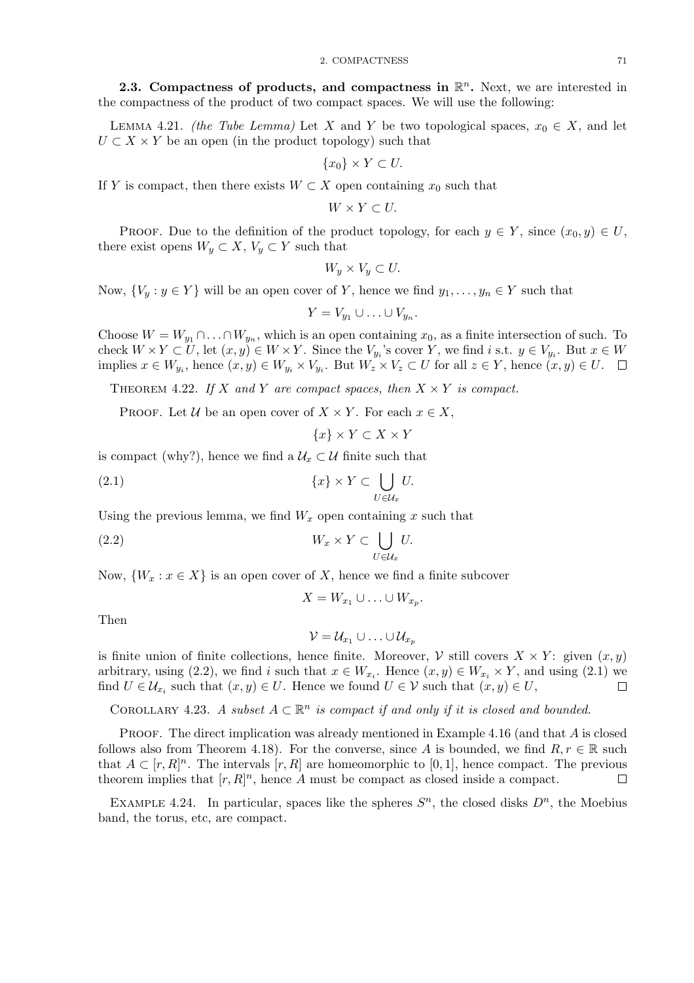2.3. Compactness of products, and compactness in  $\mathbb{R}^n$ . Next, we are interested in the compactness of the product of two compact spaces. We will use the following:

LEMMA 4.21. (the Tube Lemma) Let X and Y be two topological spaces,  $x_0 \in X$ , and let  $U \subset X \times Y$  be an open (in the product topology) such that

$$
\{x_0\} \times Y \subset U.
$$

If Y is compact, then there exists  $W \subset X$  open containing  $x_0$  such that

 $W \times Y \subset U$ .

PROOF. Due to the definition of the product topology, for each  $y \in Y$ , since  $(x_0, y) \in U$ , there exist opens  $W_y \subset X$ ,  $V_y \subset Y$  such that

$$
W_y \times V_y \subset U.
$$

Now,  $\{V_y : y \in Y\}$  will be an open cover of Y, hence we find  $y_1, \ldots, y_n \in Y$  such that

$$
Y=V_{y_1}\cup\ldots\cup V_{y_n}.
$$

Choose  $W = W_{y_1} \cap \ldots \cap W_{y_n}$ , which is an open containing  $x_0$ , as a finite intersection of such. To check  $W \times Y \subset U$ , let  $(x, y) \in W \times Y$ . Since the  $V_{y_i}$ 's cover Y, we find i s.t.  $y \in V_{y_i}$ . But  $x \in W$ implies  $x \in W_{y_i}$ , hence  $(x, y) \in W_{y_i} \times V_{y_i}$ . But  $W_z \times V_z \subset U$  for all  $z \in Y$ , hence  $(x, y) \in U$ .

THEOREM 4.22. If X and Y are compact spaces, then  $X \times Y$  is compact.

PROOF. Let  $\mathcal U$  be an open cover of  $X \times Y$ . For each  $x \in X$ ,

 ${x} \times Y \subset X \times Y$ 

is compact (why?), hence we find a  $\mathcal{U}_x \subset \mathcal{U}$  finite such that

$$
(2.1) \t\t \{x\} \times Y \subset \bigcup_{U \in \mathcal{U}_x} U.
$$

Using the previous lemma, we find  $W_x$  open containing x such that

$$
(2.2) \t W_x \times Y \subset \bigcup_{U \in \mathcal{U}_x} U.
$$

Now,  $\{W_x : x \in X\}$  is an open cover of X, hence we find a finite subcover

$$
X = W_{x_1} \cup \ldots \cup W_{x_p}.
$$

Then

$$
\mathcal{V} = \mathcal{U}_{x_1} \cup \ldots \cup \mathcal{U}_{x_p}
$$

is finite union of finite collections, hence finite. Moreover,  $V$  still covers  $X \times Y$ : given  $(x, y)$ arbitrary, using (2.2), we find i such that  $x \in W_{x_i}$ . Hence  $(x, y) \in W_{x_i} \times Y$ , and using (2.1) we find  $U \in \mathcal{U}_{x_i}$  such that  $(x, y) \in U$ . Hence we found  $U \in \mathcal{V}$  such that  $(x, y) \in U$ ,  $\Box$ 

COROLLARY 4.23. A subset  $A \subset \mathbb{R}^n$  is compact if and only if it is closed and bounded.

PROOF. The direct implication was already mentioned in Example 4.16 (and that  $A$  is closed follows also from Theorem 4.18). For the converse, since A is bounded, we find  $R, r \in \mathbb{R}$  such that  $A \subset [r, R]^n$ . The intervals  $[r, R]$  are homeomorphic to [0, 1], hence compact. The previous theorem implies that  $[r, R]^n$ , hence A must be compact as closed inside a compact.  $\Box$ 

EXAMPLE 4.24. In particular, spaces like the spheres  $S<sup>n</sup>$ , the closed disks  $D<sup>n</sup>$ , the Moebius band, the torus, etc, are compact.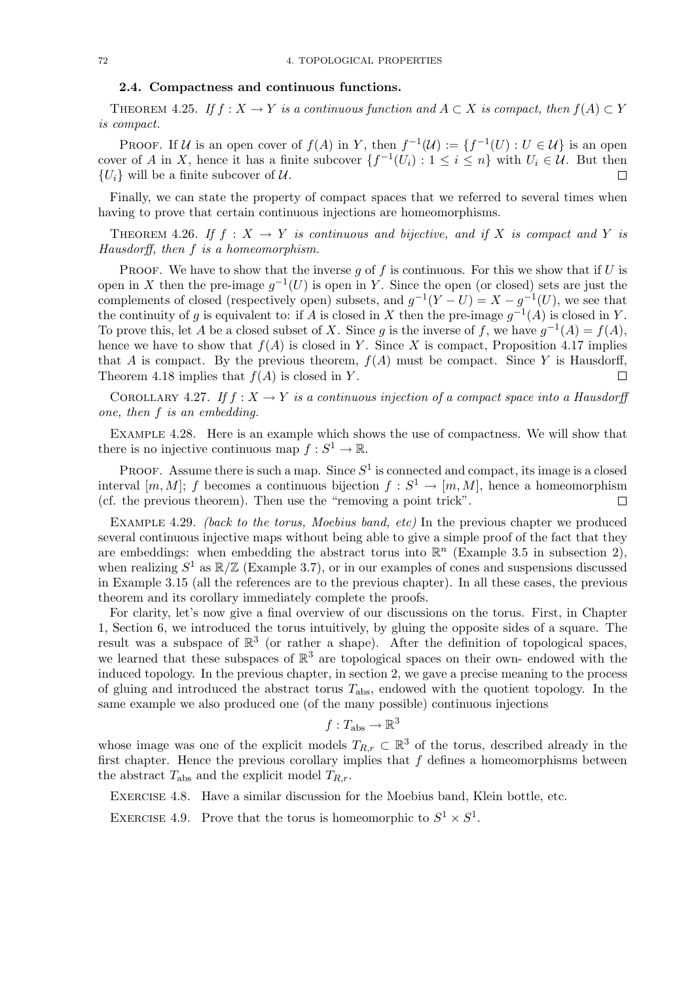#### 2.4. Compactness and continuous functions.

THEOREM 4.25. If  $f: X \to Y$  is a continuous function and  $A \subset X$  is compact, then  $f(A) \subset Y$ is compact.

PROOF. If U is an open cover of  $f(A)$  in Y, then  $f^{-1}(\mathcal{U}) := \{f^{-1}(U) : U \in \mathcal{U}\}\$ is an open cover of A in X, hence it has a finite subcover  $\{f^{-1}(U_i): 1 \leq i \leq n\}$  with  $U_i \in \mathcal{U}$ . But then  ${U_i}$  will be a finite subcover of U.

Finally, we can state the property of compact spaces that we referred to several times when having to prove that certain continuous injections are homeomorphisms.

THEOREM 4.26. If  $f : X \to Y$  is continuous and bijective, and if X is compact and Y is Hausdorff, then f is a homeomorphism.

PROOF. We have to show that the inverse q of f is continuous. For this we show that if  $U$  is open in X then the pre-image  $g^{-1}(U)$  is open in Y. Since the open (or closed) sets are just the complements of closed (respectively open) subsets, and  $g^{-1}(Y-U) = X - g^{-1}(U)$ , we see that the continuity of g is equivalent to: if A is closed in X then the pre-image  $g^{-1}(A)$  is closed in Y. To prove this, let A be a closed subset of X. Since g is the inverse of f, we have  $g^{-1}(A) = f(A)$ , hence we have to show that  $f(A)$  is closed in Y. Since X is compact, Proposition 4.17 implies that A is compact. By the previous theorem,  $f(A)$  must be compact. Since Y is Hausdorff, Theorem 4.18 implies that  $f(A)$  is closed in Y.  $\Box$ 

COROLLARY 4.27. If  $f: X \to Y$  is a continuous injection of a compact space into a Hausdorff one, then f is an embedding.

Example 4.28. Here is an example which shows the use of compactness. We will show that there is no injective continuous map  $f: S^1 \to \mathbb{R}$ .

**PROOF.** Assume there is such a map. Since  $S^1$  is connected and compact, its image is a closed interval  $[m, M]$ ; f becomes a continuous bijection  $f : S^1 \to [m, M]$ , hence a homeomorphism (cf. the previous theorem). Then use the "removing a point trick".  $\Box$ 

EXAMPLE 4.29. *(back to the torus, Moebius band, etc)* In the previous chapter we produced several continuous injective maps without being able to give a simple proof of the fact that they are embeddings: when embedding the abstract torus into  $\mathbb{R}^n$  (Example 3.5 in subsection 2), when realizing  $S^1$  as  $\mathbb{R}/\mathbb{Z}$  (Example 3.7), or in our examples of cones and suspensions discussed in Example 3.15 (all the references are to the previous chapter). In all these cases, the previous theorem and its corollary immediately complete the proofs.

For clarity, let's now give a final overview of our discussions on the torus. First, in Chapter 1, Section 6, we introduced the torus intuitively, by gluing the opposite sides of a square. The result was a subspace of  $\mathbb{R}^3$  (or rather a shape). After the definition of topological spaces, we learned that these subspaces of  $\mathbb{R}^3$  are topological spaces on their own- endowed with the induced topology. In the previous chapter, in section 2, we gave a precise meaning to the process of gluing and introduced the abstract torus  $T_{\text{abs}}$ , endowed with the quotient topology. In the same example we also produced one (of the many possible) continuous injections

$$
f: T_{\mathrm{abs}} \to \mathbb{R}^3
$$

whose image was one of the explicit models  $T_{R,r} \subset \mathbb{R}^3$  of the torus, described already in the first chapter. Hence the previous corollary implies that  $f$  defines a homeomorphisms between the abstract  $T_{\text{abs}}$  and the explicit model  $T_{R,r}$ .

Exercise 4.8. Have a similar discussion for the Moebius band, Klein bottle, etc.

EXERCISE 4.9. Prove that the torus is homeomorphic to  $S^1 \times S^1$ .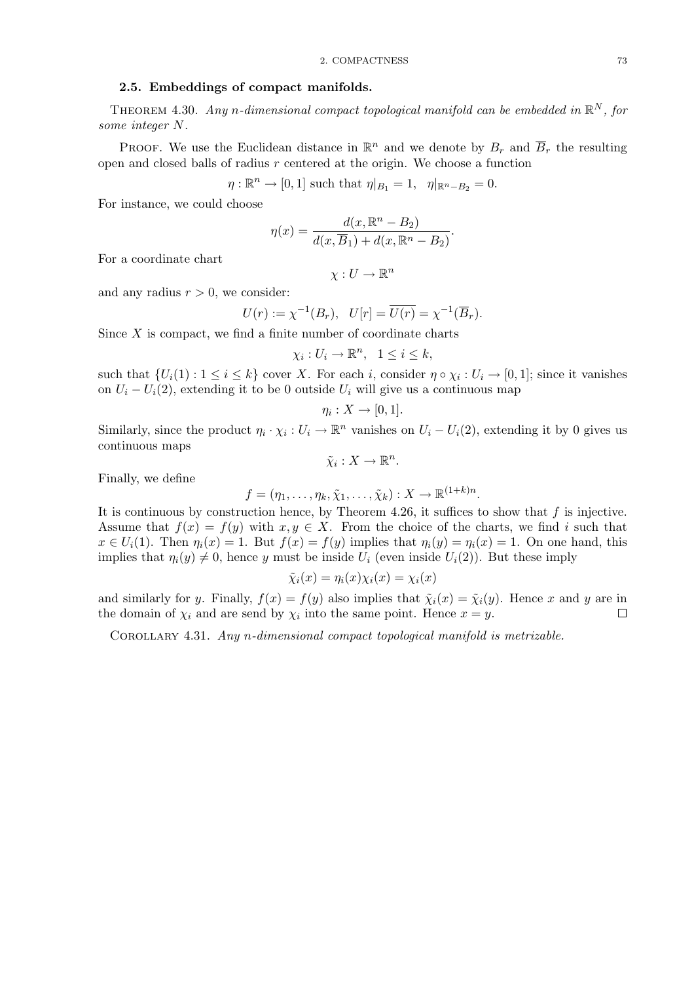## 2.5. Embeddings of compact manifolds.

THEOREM 4.30. Any n-dimensional compact topological manifold can be embedded in  $\mathbb{R}^N$ , for some integer N.

**PROOF.** We use the Euclidean distance in  $\mathbb{R}^n$  and we denote by  $B_r$  and  $\overline{B}_r$  the resulting open and closed balls of radius  $r$  centered at the origin. We choose a function

 $\eta: \mathbb{R}^n \to [0,1]$  such that  $\eta|_{B_1} = 1$ ,  $\eta|_{\mathbb{R}^n - B_2} = 0$ .

For instance, we could choose

$$
\eta(x) = \frac{d(x, \mathbb{R}^n - B_2)}{d(x, \overline{B}_1) + d(x, \mathbb{R}^n - B_2)}.
$$

For a coordinate chart

$$
\chi: U \to \mathbb{R}^n
$$

and any radius  $r > 0$ , we consider:

$$
U(r) := \chi^{-1}(B_r), \quad U[r] = \overline{U(r)} = \chi^{-1}(\overline{B}_r).
$$

Since  $X$  is compact, we find a finite number of coordinate charts

$$
\chi_i: U_i \to \mathbb{R}^n, \quad 1 \leq i \leq k,
$$

such that  $\{U_i(1): 1 \leq i \leq k\}$  cover X. For each i, consider  $\eta \circ \chi_i : U_i \to [0,1]$ ; since it vanishes on  $U_i - U_i(2)$ , extending it to be 0 outside  $U_i$  will give us a continuous map

$$
\eta_i:X\to [0,1].
$$

Similarly, since the product  $\eta_i \cdot \chi_i : U_i \to \mathbb{R}^n$  vanishes on  $U_i - U_i(2)$ , extending it by 0 gives us continuous maps  $\tilde{\chi}_i: X \to \mathbb{R}^n$ .

Finally, we define

$$
f=(\eta_1,\ldots,\eta_k,\tilde{\chi}_1,\ldots,\tilde{\chi}_k):X\to\mathbb{R}^{(1+k)n}.
$$

It is continuous by construction hence, by Theorem 4.26, it suffices to show that  $f$  is injective. Assume that  $f(x) = f(y)$  with  $x, y \in X$ . From the choice of the charts, we find i such that  $x \in U_i(1)$ . Then  $\eta_i(x) = 1$ . But  $f(x) = f(y)$  implies that  $\eta_i(y) = \eta_i(x) = 1$ . On one hand, this implies that  $\eta_i(y) \neq 0$ , hence y must be inside  $U_i$  (even inside  $U_i(2)$ ). But these imply

$$
\tilde{\chi}_i(x) = \eta_i(x)\chi_i(x) = \chi_i(x)
$$

and similarly for y. Finally,  $f(x) = f(y)$  also implies that  $\tilde{\chi}_i(x) = \tilde{\chi}_i(y)$ . Hence x and y are in the domain of  $\chi_i$  and are send by  $\chi_i$  into the same point. Hence  $x = y$ .  $\Box$ 

Corollary 4.31. Any n-dimensional compact topological manifold is metrizable.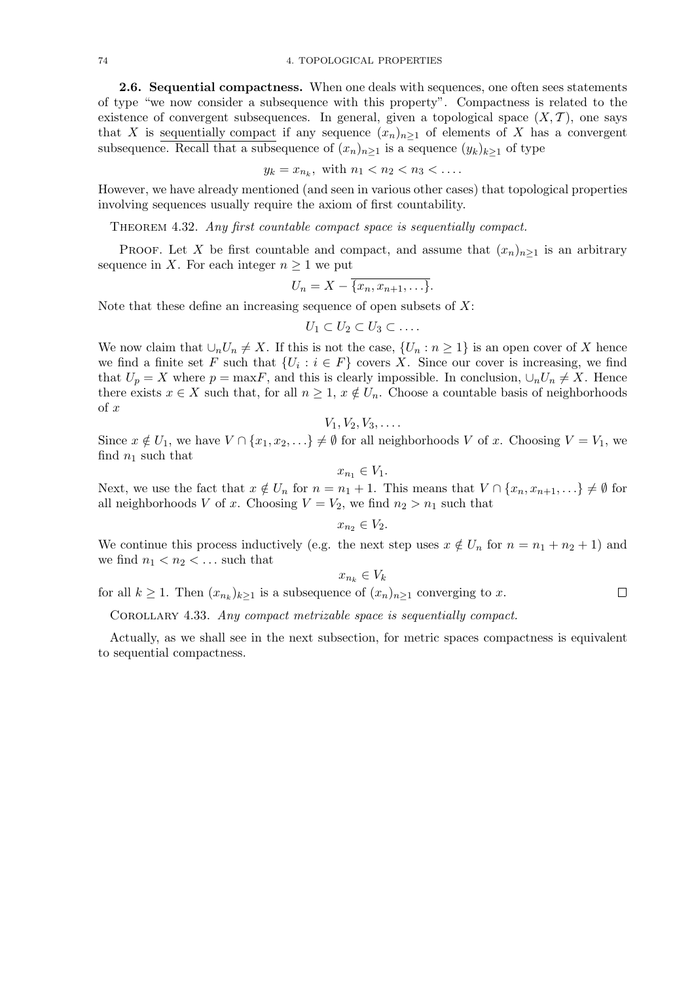2.6. Sequential compactness. When one deals with sequences, one often sees statements of type "we now consider a subsequence with this property". Compactness is related to the existence of convergent subsequences. In general, given a topological space  $(X, \mathcal{T})$ , one says that X is sequentially compact if any sequence  $(x_n)_{n\geq 1}$  of elements of X has a convergent subsequence. Recall that a subsequence of  $(x_n)_{n\geq 1}$  is a sequence  $(y_k)_{k\geq 1}$  of type

$$
y_k = x_{n_k}
$$
, with  $n_1 < n_2 < n_3 < \dots$ 

However, we have already mentioned (and seen in various other cases) that topological properties involving sequences usually require the axiom of first countability.

Theorem 4.32. Any first countable compact space is sequentially compact.

PROOF. Let X be first countable and compact, and assume that  $(x_n)_{n\geq 1}$  is an arbitrary sequence in X. For each integer  $n \geq 1$  we put

$$
U_n=X-\overline{\{x_n,x_{n+1},\ldots\}}.
$$

Note that these define an increasing sequence of open subsets of  $X$ :

$$
U_1 \subset U_2 \subset U_3 \subset \ldots
$$

We now claim that  $\cup_n U_n \neq X$ . If this is not the case,  $\{U_n : n \geq 1\}$  is an open cover of X hence we find a finite set F such that  $\{U_i : i \in F\}$  covers X. Since our cover is increasing, we find that  $U_p = X$  where  $p = \max F$ , and this is clearly impossible. In conclusion,  $\cup_n U_n \neq X$ . Hence there exists  $x \in X$  such that, for all  $n \geq 1$ ,  $x \notin U_n$ . Choose a countable basis of neighborhoods of x

 $V_1, V_2, V_3, \ldots$ 

Since  $x \notin U_1$ , we have  $V \cap \{x_1, x_2, \ldots\} \neq \emptyset$  for all neighborhoods V of x. Choosing  $V = V_1$ , we find  $n_1$  such that

$$
x_{n_1} \in V_1.
$$

Next, we use the fact that  $x \notin U_n$  for  $n = n_1 + 1$ . This means that  $V \cap \{x_n, x_{n+1}, ...\} \neq \emptyset$  for all neighborhoods V of x. Choosing  $V = V_2$ , we find  $n_2 > n_1$  such that

$$
x_{n_2} \in V_2.
$$

We continue this process inductively (e.g. the next step uses  $x \notin U_n$  for  $n = n_1 + n_2 + 1$ ) and we find  $n_1 < n_2 < \ldots$  such that

$$
\in V_k
$$

 $\Box$ 

 $x_{n_k}$ for all  $k \geq 1$ . Then  $(x_{n_k})_{k \geq 1}$  is a subsequence of  $(x_n)_{n \geq 1}$  converging to x.

Corollary 4.33. Any compact metrizable space is sequentially compact.

Actually, as we shall see in the next subsection, for metric spaces compactness is equivalent to sequential compactness.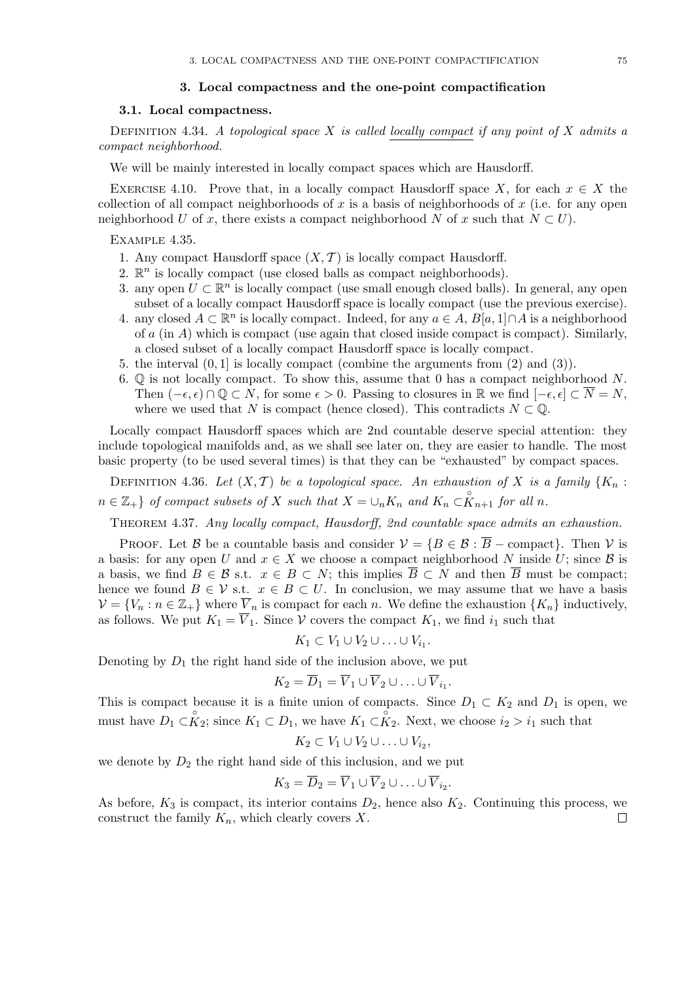#### 3. Local compactness and the one-point compactification

### 3.1. Local compactness.

DEFINITION 4.34. A topological space X is called locally compact if any point of X admits a compact neighborhood.

We will be mainly interested in locally compact spaces which are Hausdorff.

EXERCISE 4.10. Prove that, in a locally compact Hausdorff space X, for each  $x \in X$  the collection of all compact neighborhoods of x is a basis of neighborhoods of  $x$  (i.e. for any open neighborhood U of x, there exists a compact neighborhood N of x such that  $N \subset U$ .

#### Example 4.35.

- 1. Any compact Hausdorff space  $(X, \mathcal{T})$  is locally compact Hausdorff.
- 2.  $\mathbb{R}^n$  is locally compact (use closed balls as compact neighborhoods).
- 3. any open  $U \subset \mathbb{R}^n$  is locally compact (use small enough closed balls). In general, any open subset of a locally compact Hausdorff space is locally compact (use the previous exercise).
- 4. any closed  $A \subset \mathbb{R}^n$  is locally compact. Indeed, for any  $a \in A$ ,  $B[a, 1] \cap A$  is a neighborhood of a (in A) which is compact (use again that closed inside compact is compact). Similarly, a closed subset of a locally compact Hausdorff space is locally compact.
- 5. the interval  $(0, 1]$  is locally compact (combine the arguments from  $(2)$  and  $(3)$ ).
- 6.  $\mathbb{Q}$  is not locally compact. To show this, assume that 0 has a compact neighborhood N. Then  $(-\epsilon, \epsilon) \cap \mathbb{Q} \subset N$ , for some  $\epsilon > 0$ . Passing to closures in R we find  $[-\epsilon, \epsilon] \subset \overline{N} = N$ , where we used that N is compact (hence closed). This contradicts  $N \subset \mathbb{Q}$ .

Locally compact Hausdorff spaces which are 2nd countable deserve special attention: they include topological manifolds and, as we shall see later on, they are easier to handle. The most basic property (to be used several times) is that they can be "exhausted" by compact spaces.

DEFINITION 4.36. Let  $(X, \mathcal{T})$  be a topological space. An exhaustion of X is a family  $\{K_n :$  $n \in \mathbb{Z}_+$  of compact subsets of X such that  $X = \bigcup_n K_n$  and  $K_n \subset \overset{\circ}{K}_{n+1}$  for all n.

Theorem 4.37. Any locally compact, Hausdorff, 2nd countable space admits an exhaustion.

PROOF. Let B be a countable basis and consider  $\mathcal{V} = \{B \in \mathcal{B} : \overline{B} -$ compact}. Then V is a basis: for any open U and  $x \in X$  we choose a compact neighborhood N inside U; since B is a basis, we find  $B \in \mathcal{B}$  s.t.  $x \in B \subset N$ ; this implies  $\overline{B} \subset N$  and then  $\overline{B}$  must be compact; hence we found  $B \in V$  s.t.  $x \in B \subset U$ . In conclusion, we may assume that we have a basis  $\mathcal{V} = \{V_n : n \in \mathbb{Z}_+\}$  where  $\overline{V}_n$  is compact for each n. We define the exhaustion  $\{K_n\}$  inductively, as follows. We put  $K_1 = \overline{V}_1$ . Since V covers the compact  $K_1$ , we find  $i_1$  such that

$$
K_1 \subset V_1 \cup V_2 \cup \ldots \cup V_{i_1}.
$$

Denoting by  $D_1$  the right hand side of the inclusion above, we put

$$
K_2 = \overline{D}_1 = \overline{V}_1 \cup \overline{V}_2 \cup \ldots \cup \overline{V}_{i_1}.
$$

This is compact because it is a finite union of compacts. Since  $D_1 \subset K_2$  and  $D_1$  is open, we must have  $D_1 \subset \overset{\circ}{K}_2$ ; since  $K_1 \subset D_1$ , we have  $K_1 \subset \overset{\circ}{K}_2$ . Next, we choose  $i_2 > i_1$  such that

$$
K_2 \subset V_1 \cup V_2 \cup \ldots \cup V_{i_2},
$$

we denote by  $D_2$  the right hand side of this inclusion, and we put

$$
K_3=\overline{D}_2=\overline{V}_1\cup\overline{V}_2\cup\ldots\cup\overline{V}_{i_2}.
$$

As before,  $K_3$  is compact, its interior contains  $D_2$ , hence also  $K_2$ . Continuing this process, we construct the family  $K_n$ , which clearly covers X.  $\Box$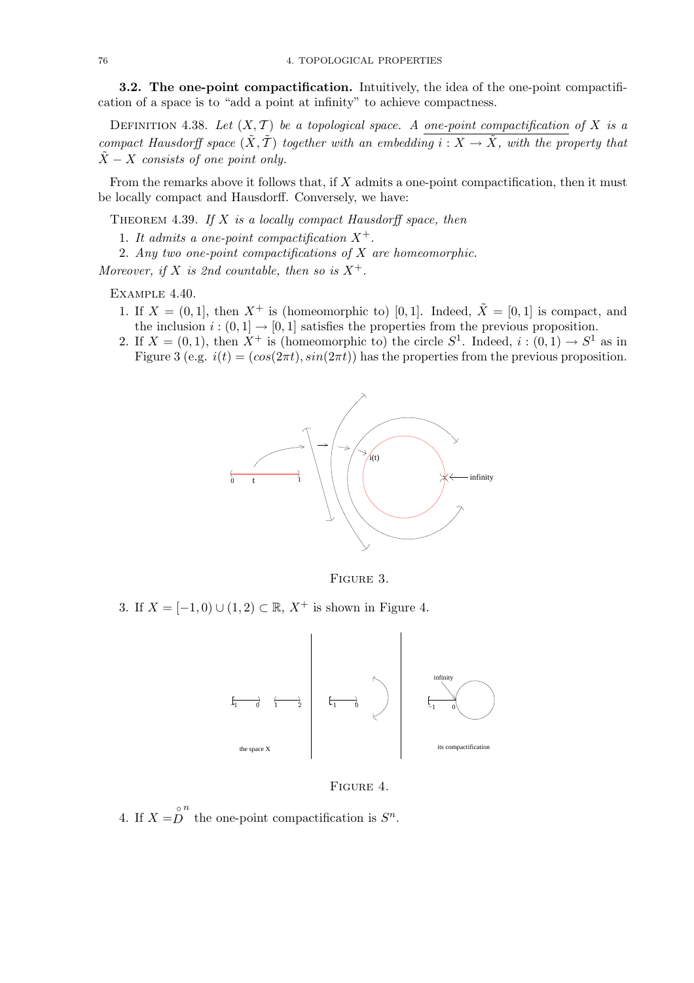3.2. The one-point compactification. Intuitively, the idea of the one-point compactification of a space is to "add a point at infinity" to achieve compactness.

DEFINITION 4.38. Let  $(X, \mathcal{T})$  be a topological space. A one-point compactification of X is a compact Hausdorff space  $(\tilde{X}, \tilde{T})$  together with an embedding  $i : X \to \tilde{X}$ , with the property that  $\tilde{X}$  – X consists of one point only.

From the remarks above it follows that, if X admits a one-point compactification, then it must be locally compact and Hausdorff. Conversely, we have:

THEOREM 4.39. If  $X$  is a locally compact Hausdorff space, then

- 1. It admits a one-point compactification  $X^+$ .
- 2. Any two one-point compactifications of X are homeomorphic.

Moreover, if X is 2nd countable, then so is  $X^+$ .

Example 4.40.

- 1. If  $X = (0, 1]$ , then  $X^+$  is (homeomorphic to) [0, 1]. Indeed,  $\tilde{X} = [0, 1]$  is compact, and the inclusion  $i:(0,1] \rightarrow [0,1]$  satisfies the properties from the previous proposition.
- 2. If  $X = (0, 1)$ , then  $X^+$  is (homeomorphic to) the circle  $S^1$ . Indeed,  $i : (0, 1) \rightarrow S^1$  as in Figure 3 (e.g.  $i(t) = (cos(2\pi t), sin(2\pi t))$  has the properties from the previous proposition.



Figure 3.

3. If  $X = [-1, 0) \cup (1, 2) \subset \mathbb{R}, X^+$  is shown in Figure 4.



### Figure 4.

4. If  $X = \stackrel{\circ}{D}$ n the one-point compactification is  $S<sup>n</sup>$ .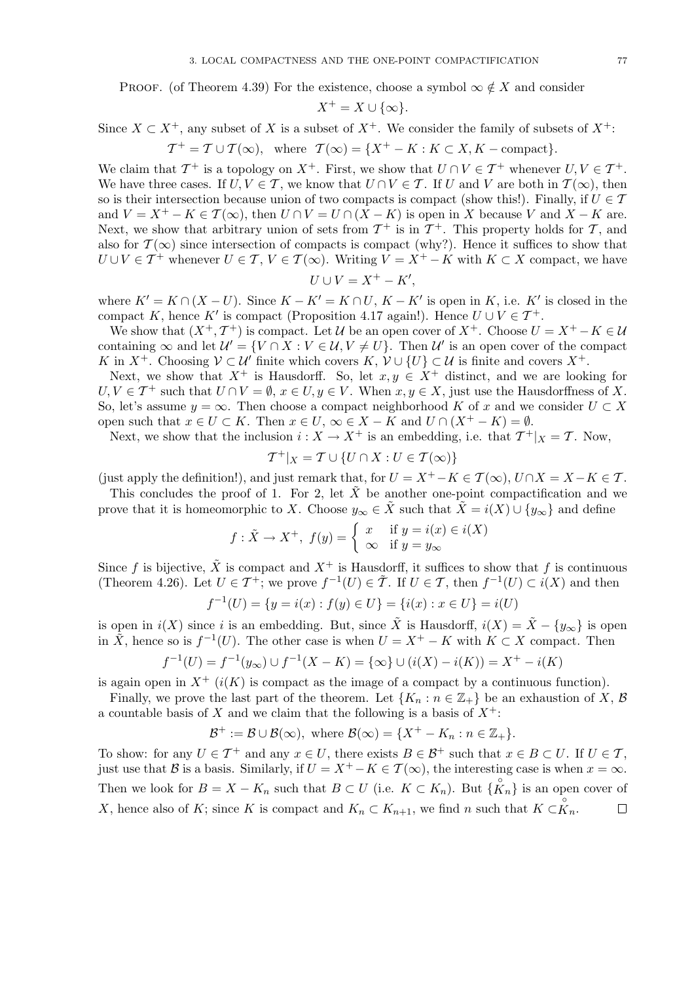PROOF. (of Theorem 4.39) For the existence, choose a symbol  $\infty \notin X$  and consider

$$
X^+ = X \cup \{\infty\}.
$$

Since  $X \subset X^+$ , any subset of X is a subset of  $X^+$ . We consider the family of subsets of  $X^+$ :

 $T^+ = T \cup T(\infty)$ , where  $T(\infty) = \{X^+ - K : K \subset X, K - \text{compact}\}.$ 

We claim that  $\mathcal{T}^+$  is a topology on  $X^+$ . First, we show that  $U \cap V \in \mathcal{T}^+$  whenever  $U, V \in \mathcal{T}^+$ . We have three cases. If  $U, V \in \mathcal{T}$ , we know that  $U \cap V \in \mathcal{T}$ . If U and V are both in  $\mathcal{T}(\infty)$ , then so is their intersection because union of two compacts is compact (show this!). Finally, if  $U \in \mathcal{T}$ and  $V = X^+ - K \in \mathcal{T}(\infty)$ , then  $U \cap V = U \cap (X - K)$  is open in X because V and  $X - K$  are. Next, we show that arbitrary union of sets from  $\mathcal{T}^+$  is in  $\mathcal{T}^+$ . This property holds for  $\mathcal{T}$ , and also for  $\mathcal{T}(\infty)$  since intersection of compacts is compact (why?). Hence it suffices to show that  $U \cup V \in \mathcal{T}^+$  whenever  $U \in \mathcal{T}, V \in \mathcal{T}(\infty)$ . Writing  $V = X^+ - K$  with  $K \subset X$  compact, we have

$$
U \cup V = X^+ - K',
$$

where  $K' = K \cap (X - U)$ . Since  $K - K' = K \cap U$ ,  $K - K'$  is open in K, i.e. K' is closed in the compact K, hence K' is compact (Proposition 4.17 again!). Hence  $U \cup V \in \mathcal{T}^+$ .

We show that  $(X^+, \mathcal{T}^+)$  is compact. Let U be an open cover of  $X^+$ . Choose  $U = X^+ - K \in \mathcal{U}$ containing  $\infty$  and let  $\mathcal{U}' = \{V \cap X : V \in \mathcal{U}, V \neq U\}$ . Then  $\mathcal{U}'$  is an open cover of the compact K in  $X^+$ . Choosing  $\mathcal{V} \subset \mathcal{U}'$  finite which covers  $K, \mathcal{V} \cup \{U\} \subset \mathcal{U}$  is finite and covers  $X^+$ .

Next, we show that  $X^+$  is Hausdorff. So, let  $x, y \in X^+$  distinct, and we are looking for  $U, V \in \mathcal{T}^+$  such that  $U \cap V = \emptyset$ ,  $x \in U, y \in V$ . When  $x, y \in X$ , just use the Hausdorffness of X. So, let's assume  $y = \infty$ . Then choose a compact neighborhood K of x and we consider  $U \subset X$ open such that  $x \in U \subset K$ . Then  $x \in U$ ,  $\infty \in X - K$  and  $U \cap (X^+ - K) = \emptyset$ .

Next, we show that the inclusion  $i: X \to X^+$  is an embedding, i.e. that  $\mathcal{T}^+|_X = \mathcal{T}$ . Now,

$$
\mathcal{T}^+|_X = \mathcal{T} \cup \{ U \cap X : U \in \mathcal{T}(\infty) \}
$$

(just apply the definition!), and just remark that, for  $U = X^+ - K \in \mathcal{T}(\infty)$ ,  $U \cap X = X - K \in \mathcal{T}$ .

This concludes the proof of 1. For 2, let  $\tilde{X}$  be another one-point compactification and we prove that it is homeomorphic to X. Choose  $y_\infty \in \tilde{X}$  such that  $\tilde{X} = i(X) \cup \{y_\infty\}$  and define

$$
f: \tilde{X} \to X^+, f(y) = \begin{cases} x & \text{if } y = i(x) \in i(X) \\ \infty & \text{if } y = y_{\infty} \end{cases}
$$

Since f is bijective,  $\tilde{X}$  is compact and  $X^+$  is Hausdorff, it suffices to show that f is continuous (Theorem 4.26). Let  $U \in \mathcal{T}^+$ ; we prove  $f^{-1}(U) \in \tilde{\mathcal{T}}$ . If  $U \in \mathcal{T}$ , then  $f^{-1}(U) \subset i(X)$  and then

$$
f^{-1}(U) = \{ y = i(x) : f(y) \in U \} = \{ i(x) : x \in U \} = i(U)
$$

is open in  $i(X)$  since i is an embedding. But, since  $\tilde{X}$  is Hausdorff,  $i(X) = \tilde{X} - \{y_{\infty}\}\$ is open in  $\tilde{X}$ , hence so is  $f^{-1}(U)$ . The other case is when  $U = X^+ - K$  with  $K \subset X$  compact. Then

$$
f^{-1}(U) = f^{-1}(y_{\infty}) \cup f^{-1}(X - K) = \{\infty\} \cup (i(X) - i(K)) = X^+ - i(K)
$$

is again open in  $X^+$  ( $i(K)$ ) is compact as the image of a compact by a continuous function).

Finally, we prove the last part of the theorem. Let  $\{K_n : n \in \mathbb{Z}_+\}$  be an exhaustion of X, B a countable basis of X and we claim that the following is a basis of  $X^+$ :

$$
\mathcal{B}^+ := \mathcal{B} \cup \mathcal{B}(\infty), \text{ where } \mathcal{B}(\infty) = \{X^+ - K_n : n \in \mathbb{Z}_+\}.
$$

To show: for any  $U \in \mathcal{T}^+$  and any  $x \in U$ , there exists  $B \in \mathcal{B}^+$  such that  $x \in B \subset U$ . If  $U \in \mathcal{T}$ , just use that B is a basis. Similarly, if  $U = X^+ - K \in \mathcal{T}(\infty)$ , the interesting case is when  $x = \infty$ . Then we look for  $B = X - K_n$  such that  $B \subset U$  (i.e.  $K \subset K_n$ ). But  $\{K_n\}$  is an open cover of X, hence also of K; since K is compact and  $K_n \subset K_{n+1}$ , we find n such that  $K \subset \overset{\circ}{K}_n$ .  $\Box$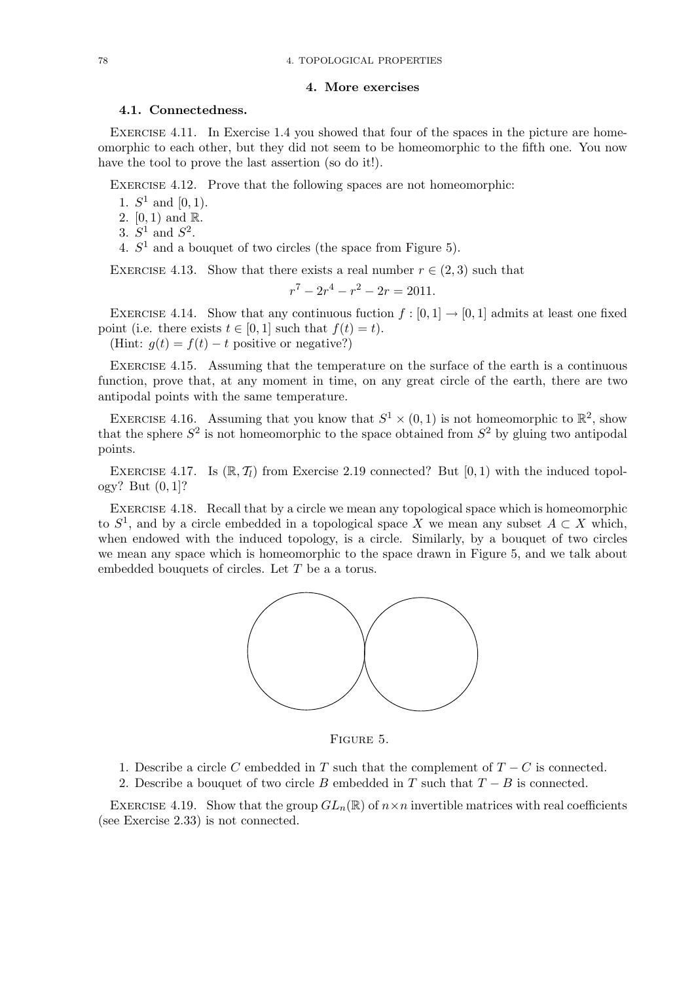#### 4. More exercises

## 4.1. Connectedness.

EXERCISE 4.11. In Exercise 1.4 you showed that four of the spaces in the picture are homeomorphic to each other, but they did not seem to be homeomorphic to the fifth one. You now have the tool to prove the last assertion (so do it!).

Exercise 4.12. Prove that the following spaces are not homeomorphic:

1.  $S^1$  and  $[0, 1)$ .

2.  $[0, 1)$  and  $\mathbb{R}$ .

3.  $S^1$  and  $S^2$ .

4.  $S<sup>1</sup>$  and a bouquet of two circles (the space from Figure 5).

EXERCISE 4.13. Show that there exists a real number  $r \in (2,3)$  such that

$$
r^7 - 2r^4 - r^2 - 2r = 2011.
$$

EXERCISE 4.14. Show that any continuous fuction  $f : [0, 1] \rightarrow [0, 1]$  admits at least one fixed point (i.e. there exists  $t \in [0, 1]$  such that  $f(t) = t$ ).

(Hint:  $g(t) = f(t) - t$  positive or negative?)

Exercise 4.15. Assuming that the temperature on the surface of the earth is a continuous function, prove that, at any moment in time, on any great circle of the earth, there are two antipodal points with the same temperature.

EXERCISE 4.16. Assuming that you know that  $S^1 \times (0,1)$  is not homeomorphic to  $\mathbb{R}^2$ , show that the sphere  $S^2$  is not homeomorphic to the space obtained from  $S^2$  by gluing two antipodal points.

EXERCISE 4.17. Is  $(\mathbb{R}, \mathcal{T}_l)$  from Exercise 2.19 connected? But  $[0, 1)$  with the induced topology? But (0, 1]?

EXERCISE 4.18. Recall that by a circle we mean any topological space which is homeomorphic to  $S^1$ , and by a circle embedded in a topological space X we mean any subset  $A \subset X$  which, when endowed with the induced topology, is a circle. Similarly, by a bouquet of two circles we mean any space which is homeomorphic to the space drawn in Figure 5, and we talk about embedded bouquets of circles. Let T be a a torus.



Figure 5.

- 1. Describe a circle C embedded in T such that the complement of  $T C$  is connected.
- 2. Describe a bouquet of two circle B embedded in T such that  $T B$  is connected.

EXERCISE 4.19. Show that the group  $GL_n(\mathbb{R})$  of  $n \times n$  invertible matrices with real coefficients (see Exercise 2.33) is not connected.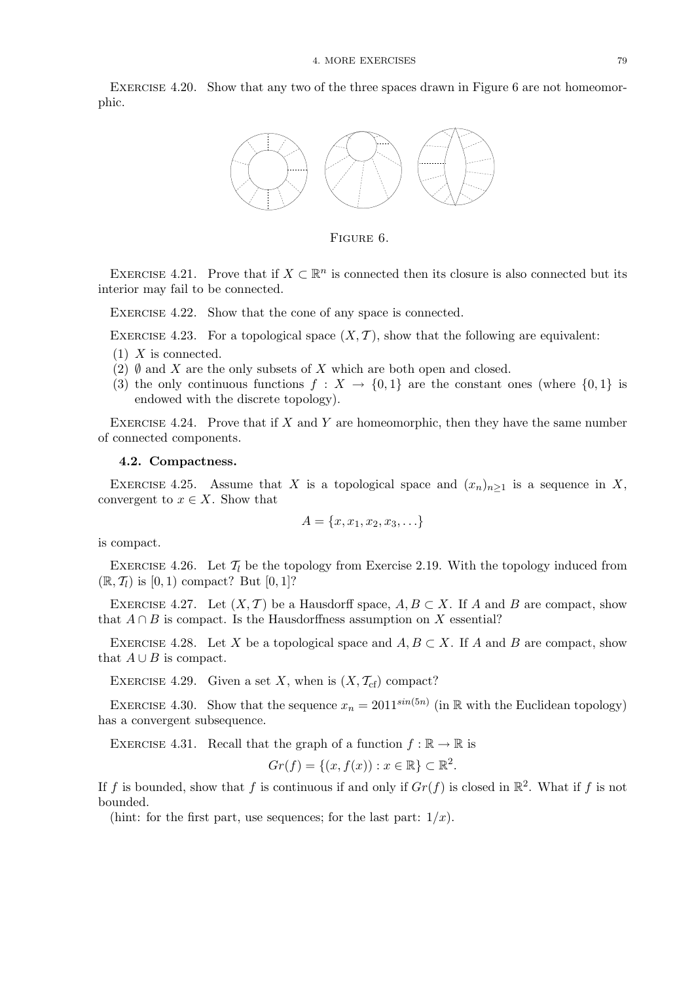EXERCISE 4.20. Show that any two of the three spaces drawn in Figure 6 are not homeomorphic.



Figure 6.

EXERCISE 4.21. Prove that if  $X \subset \mathbb{R}^n$  is connected then its closure is also connected but its interior may fail to be connected.

EXERCISE 4.22. Show that the cone of any space is connected.

EXERCISE 4.23. For a topological space  $(X, \mathcal{T})$ , show that the following are equivalent:

- $(1)$  X is connected.
- (2)  $\emptyset$  and X are the only subsets of X which are both open and closed.
- (3) the only continuous functions  $f: X \to \{0,1\}$  are the constant ones (where  $\{0,1\}$  is endowed with the discrete topology).

EXERCISE 4.24. Prove that if  $X$  and  $Y$  are homeomorphic, then they have the same number of connected components.

#### 4.2. Compactness.

EXERCISE 4.25. Assume that X is a topological space and  $(x_n)_{n>1}$  is a sequence in X, convergent to  $x \in X$ . Show that

$$
A = \{x, x_1, x_2, x_3, \ldots\}
$$

is compact.

EXERCISE 4.26. Let  $\mathcal{T}_l$  be the topology from Exercise 2.19. With the topology induced from  $(\mathbb{R}, \mathcal{T}_l)$  is  $[0, 1)$  compact? But  $[0, 1]$ ?

EXERCISE 4.27. Let  $(X, \mathcal{T})$  be a Hausdorff space,  $A, B \subset X$ . If A and B are compact, show that  $A \cap B$  is compact. Is the Hausdorffness assumption on X essential?

EXERCISE 4.28. Let X be a topological space and  $A, B \subset X$ . If A and B are compact, show that  $A \cup B$  is compact.

EXERCISE 4.29. Given a set X, when is  $(X, \mathcal{T}_{cf})$  compact?

EXERCISE 4.30. Show that the sequence  $x_n = 2011^{\sin(5n)}$  (in R with the Euclidean topology) has a convergent subsequence.

EXERCISE 4.31. Recall that the graph of a function  $f : \mathbb{R} \to \mathbb{R}$  is

$$
Gr(f) = \{(x, f(x)) : x \in \mathbb{R}\} \subset \mathbb{R}^2.
$$

If f is bounded, show that f is continuous if and only if  $Gr(f)$  is closed in  $\mathbb{R}^2$ . What if f is not bounded.

(hint: for the first part, use sequences; for the last part:  $1/x$ ).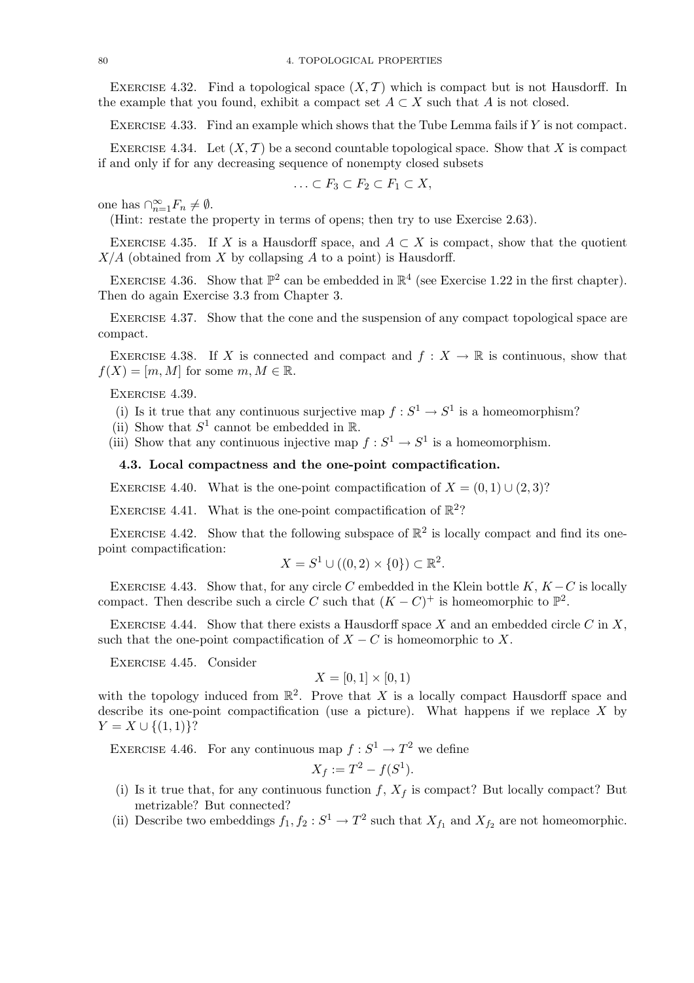EXERCISE 4.32. Find a topological space  $(X, \mathcal{T})$  which is compact but is not Hausdorff. In the example that you found, exhibit a compact set  $A \subset X$  such that A is not closed.

EXERCISE 4.33. Find an example which shows that the Tube Lemma fails if  $Y$  is not compact.

EXERCISE 4.34. Let  $(X, \mathcal{T})$  be a second countable topological space. Show that X is compact if and only if for any decreasing sequence of nonempty closed subsets

$$
\ldots \subset F_3 \subset F_2 \subset F_1 \subset X,
$$

one has  $\bigcap_{n=1}^{\infty} F_n \neq \emptyset$ .

(Hint: restate the property in terms of opens; then try to use Exercise 2.63).

EXERCISE 4.35. If X is a Hausdorff space, and  $A \subset X$  is compact, show that the quotient  $X/A$  (obtained from X by collapsing A to a point) is Hausdorff.

EXERCISE 4.36. Show that  $\mathbb{P}^2$  can be embedded in  $\mathbb{R}^4$  (see Exercise 1.22 in the first chapter). Then do again Exercise 3.3 from Chapter 3.

EXERCISE 4.37. Show that the cone and the suspension of any compact topological space are compact.

EXERCISE 4.38. If X is connected and compact and  $f: X \to \mathbb{R}$  is continuous, show that  $f(X) = [m, M]$  for some  $m, M \in \mathbb{R}$ .

Exercise 4.39.

- (i) Is it true that any continuous surjective map  $f : S^1 \to S^1$  is a homeomorphism?
- (ii) Show that  $S^1$  cannot be embedded in  $\mathbb{R}$ .
- (iii) Show that any continuous injective map  $f: S^1 \to S^1$  is a homeomorphism.

### 4.3. Local compactness and the one-point compactification.

EXERCISE 4.40. What is the one-point compactification of  $X = (0, 1) \cup (2, 3)$ ?

EXERCISE 4.41. What is the one-point compactification of  $\mathbb{R}^2$ ?

EXERCISE 4.42. Show that the following subspace of  $\mathbb{R}^2$  is locally compact and find its onepoint compactification:

$$
X = S^1 \cup ((0,2) \times \{0\}) \subset \mathbb{R}^2.
$$

EXERCISE 4.43. Show that, for any circle C embedded in the Klein bottle K,  $K - C$  is locally compact. Then describe such a circle C such that  $(K - C)^+$  is homeomorphic to  $\mathbb{P}^2$ .

EXERCISE 4.44. Show that there exists a Hausdorff space X and an embedded circle C in X, such that the one-point compactification of  $X - C$  is homeomorphic to X.

Exercise 4.45. Consider

# $X = [0, 1] \times [0, 1]$

with the topology induced from  $\mathbb{R}^2$ . Prove that X is a locally compact Hausdorff space and describe its one-point compactification (use a picture). What happens if we replace  $X$  by  $Y = X \cup \{(1,1)\}$ ?

EXERCISE 4.46. For any continuous map  $f: S^1 \to T^2$  we define

$$
X_f := T^2 - f(S^1).
$$

- (i) Is it true that, for any continuous function  $f, X_f$  is compact? But locally compact? But metrizable? But connected?
- (ii) Describe two embeddings  $f_1, f_2: S^1 \to T^2$  such that  $X_{f_1}$  and  $X_{f_2}$  are not homeomorphic.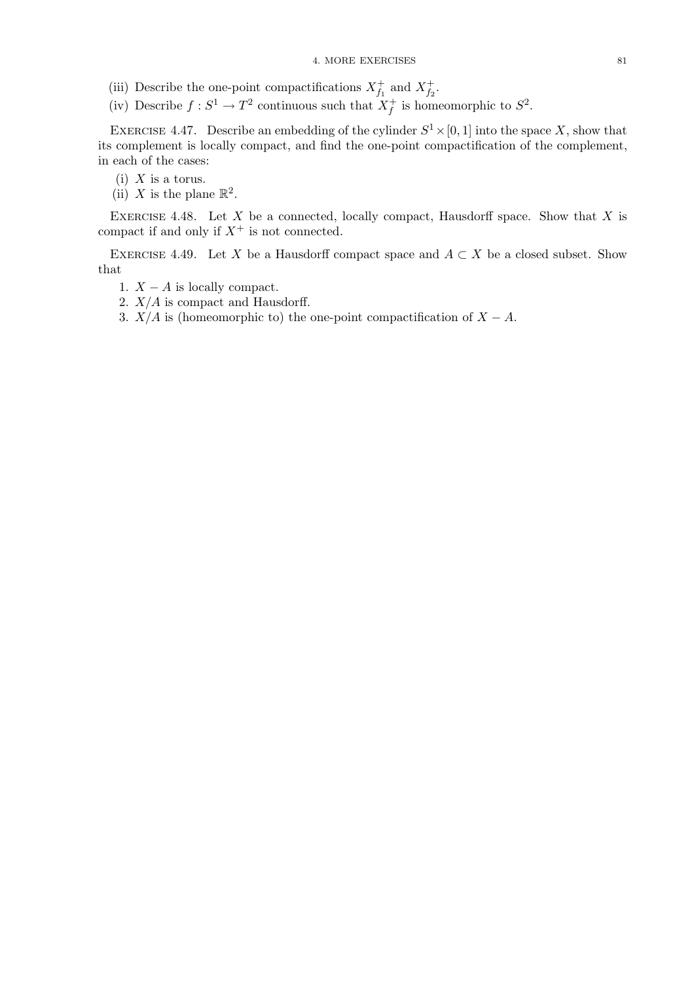- (iii) Describe the one-point compactifications  $X_{f_1}^+$  and  $X_{f_2}^+$ .
- (iv) Describe  $f: S^1 \to T^2$  continuous such that  $X_f^+$  is homeomorphic to  $S^2$ .

EXERCISE 4.47. Describe an embedding of the cylinder  $S^1 \times [0, 1]$  into the space X, show that its complement is locally compact, and find the one-point compactification of the complement, in each of the cases:

(i)  $X$  is a torus.

(ii) X is the plane  $\mathbb{R}^2$ .

EXERCISE 4.48. Let  $X$  be a connected, locally compact, Hausdorff space. Show that  $X$  is compact if and only if  $X^+$  is not connected.

EXERCISE 4.49. Let X be a Hausdorff compact space and  $A \subset X$  be a closed subset. Show that

- 1.  $X A$  is locally compact.
- 2.  $X/A$  is compact and Hausdorff.
- 3.  $X/A$  is (homeomorphic to) the one-point compactification of  $X A$ .